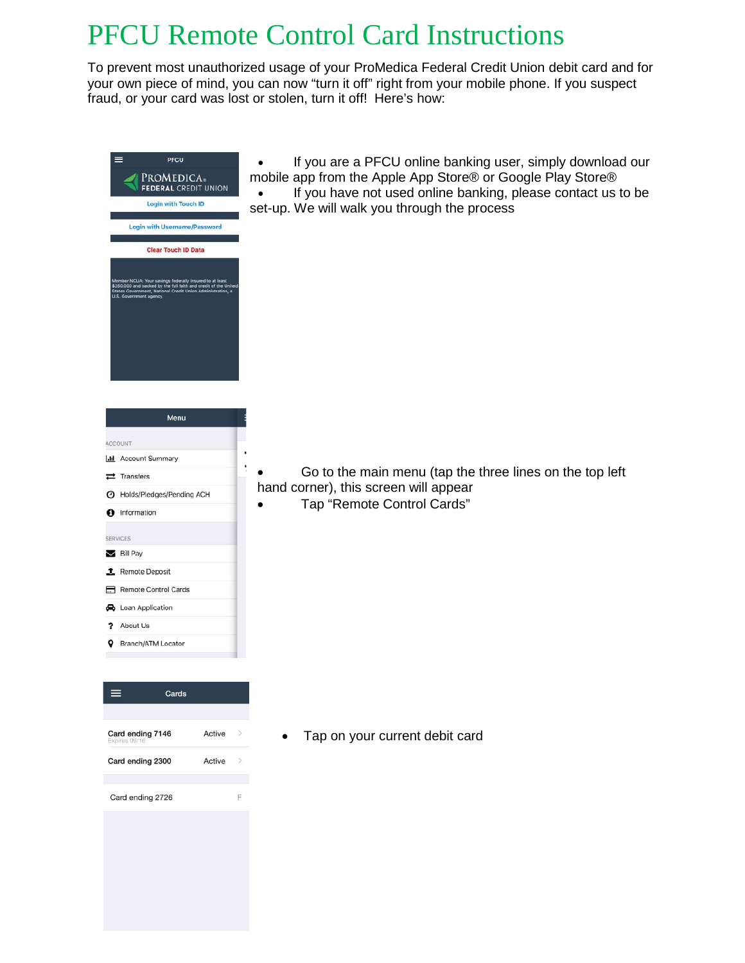## PFCU Remote Control Card Instructions

To prevent most unauthorized usage of your ProMedica Federal Credit Union debit card and for your own piece of mind, you can now "turn it off" right from your mobile phone. If you suspect fraud, or your card was lost or stolen, turn it off! Here's how:



• Go to the main menu (tap the three lines on the top left